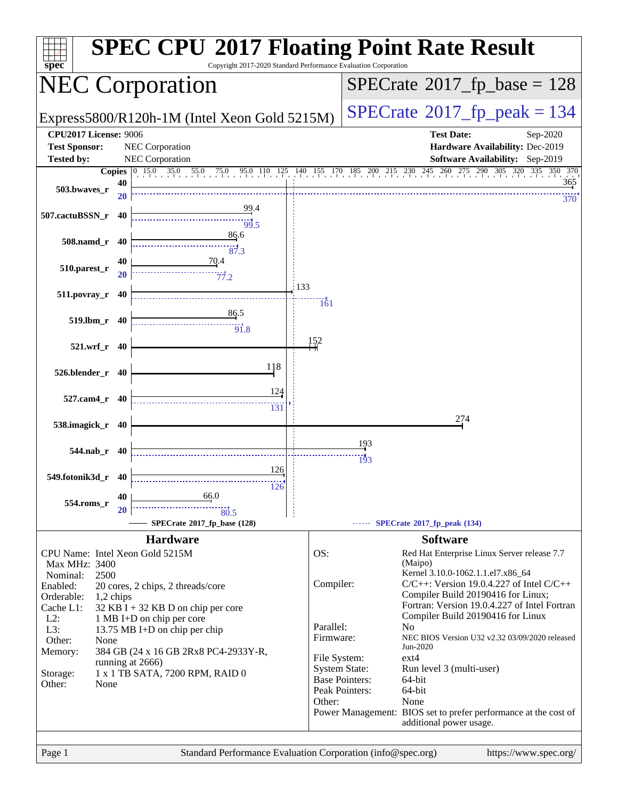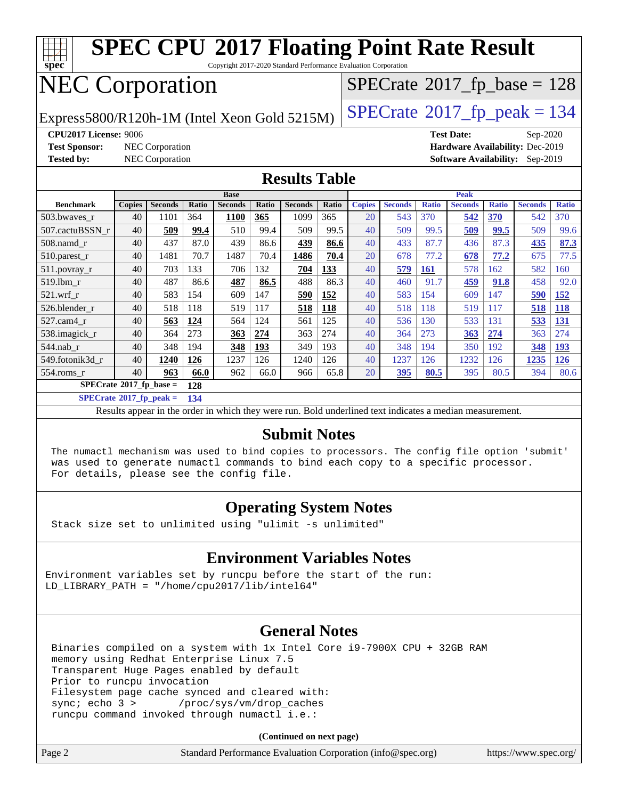

Copyright 2017-2020 Standard Performance Evaluation Corporation

# NEC Corporation

Express5800/R120h-1M (Intel Xeon Gold 5215M)  $\left|$  [SPECrate](http://www.spec.org/auto/cpu2017/Docs/result-fields.html#SPECrate2017fppeak)®[2017\\_fp\\_peak = 1](http://www.spec.org/auto/cpu2017/Docs/result-fields.html#SPECrate2017fppeak)34

 $SPECTate$ <sup>®</sup>[2017\\_fp\\_base =](http://www.spec.org/auto/cpu2017/Docs/result-fields.html#SPECrate2017fpbase) 128

**[Tested by:](http://www.spec.org/auto/cpu2017/Docs/result-fields.html#Testedby)** NEC Corporation **[Software Availability:](http://www.spec.org/auto/cpu2017/Docs/result-fields.html#SoftwareAvailability)** Sep-2019

**[CPU2017 License:](http://www.spec.org/auto/cpu2017/Docs/result-fields.html#CPU2017License)** 9006 **[Test Date:](http://www.spec.org/auto/cpu2017/Docs/result-fields.html#TestDate)** Sep-2020 **[Test Sponsor:](http://www.spec.org/auto/cpu2017/Docs/result-fields.html#TestSponsor)** NEC Corporation **[Hardware Availability:](http://www.spec.org/auto/cpu2017/Docs/result-fields.html#HardwareAvailability)** Dec-2019

#### **[Results Table](http://www.spec.org/auto/cpu2017/Docs/result-fields.html#ResultsTable)**

|                                  | <b>Base</b>   |                |            |                |       | <b>Peak</b>    |            |               |                |              |                |              |                |              |
|----------------------------------|---------------|----------------|------------|----------------|-------|----------------|------------|---------------|----------------|--------------|----------------|--------------|----------------|--------------|
| <b>Benchmark</b>                 | <b>Copies</b> | <b>Seconds</b> | Ratio      | <b>Seconds</b> | Ratio | <b>Seconds</b> | Ratio      | <b>Copies</b> | <b>Seconds</b> | <b>Ratio</b> | <b>Seconds</b> | <b>Ratio</b> | <b>Seconds</b> | <b>Ratio</b> |
| 503.bwayes_r                     | 40            | 1101           | 364        | <b>1100</b>    | 365   | 1099           | 365        | 20            | 543            | 370          | 542            | 370          | 542            | 370          |
| 507.cactuBSSN r                  | 40            | 509            | 99.4       | 510            | 99.4  | 509            | 99.5       | 40            | 509            | 99.5         | 509            | 99.5         | 509            | 99.6         |
| $508$ .namd $r$                  | 40            | 437            | 87.0       | 439            | 86.6  | 439            | 86.6       | 40            | 433            | 87.7         | 436            | 87.3         | 435            | 87.3         |
| 510.parest_r                     | 40            | 1481           | 70.7       | 1487           | 70.4  | 1486           | 70.4       | 20            | 678            | 77.2         | 678            | 77.2         | 675            | 77.5         |
| 511.povray_r                     | 40            | 703            | 133        | 706            | 132   | 704            | <u>133</u> | 40            | 579            | <u>161</u>   | 578            | 162          | 582            | 160          |
| 519.1bm r                        | 40            | 487            | 86.6       | 487            | 86.5  | 488            | 86.3       | 40            | 460            | 91.7         | 459            | 91.8         | 458            | 92.0         |
| $521$ .wrf r                     | 40            | 583            | 154        | 609            | 147   | 590            | 152        | 40            | 583            | 154          | 609            | 147          | 590            | <b>152</b>   |
| 526.blender r                    | 40            | 518            | 118        | 519            | 117   | 518            | 118        | 40            | 518            | 118          | 519            | 117          | 518            | <b>118</b>   |
| 527.cam4 r                       | 40            | 563            | 124        | 564            | 124   | 561            | 125        | 40            | 536            | 130          | 533            | 131          | 533            | <u>131</u>   |
| 538.imagick_r                    | 40            | 364            | 273        | 363            | 274   | 363            | 274        | 40            | 364            | 273          | 363            | 274          | 363            | 274          |
| 544.nab r                        | 40            | 348            | 194        | 348            | 193   | 349            | 193        | 40            | 348            | 194          | 350            | 192          | 348            | 193          |
| 549.fotonik3d r                  | 40            | 1240           | <u>126</u> | 1237           | 126   | 1240           | 126        | 40            | 1237           | 126          | 1232           | 126          | 1235           | <b>126</b>   |
| $554$ .roms r                    | 40            | 963            | 66.0       | 962            | 66.0  | 966            | 65.8       | 20            | 395            | 80.5         | 395            | 80.5         | 394            | 80.6         |
| $SPECrate^{\circ}2017$ fp base = |               |                | 128        |                |       |                |            |               |                |              |                |              |                |              |

**[SPECrate](http://www.spec.org/auto/cpu2017/Docs/result-fields.html#SPECrate2017fppeak)[2017\\_fp\\_peak =](http://www.spec.org/auto/cpu2017/Docs/result-fields.html#SPECrate2017fppeak) 134**

Results appear in the [order in which they were run.](http://www.spec.org/auto/cpu2017/Docs/result-fields.html#RunOrder) Bold underlined text [indicates a median measurement.](http://www.spec.org/auto/cpu2017/Docs/result-fields.html#Median)

#### **[Submit Notes](http://www.spec.org/auto/cpu2017/Docs/result-fields.html#SubmitNotes)**

 The numactl mechanism was used to bind copies to processors. The config file option 'submit' was used to generate numactl commands to bind each copy to a specific processor. For details, please see the config file.

### **[Operating System Notes](http://www.spec.org/auto/cpu2017/Docs/result-fields.html#OperatingSystemNotes)**

Stack size set to unlimited using "ulimit -s unlimited"

### **[Environment Variables Notes](http://www.spec.org/auto/cpu2017/Docs/result-fields.html#EnvironmentVariablesNotes)**

Environment variables set by runcpu before the start of the run: LD\_LIBRARY\_PATH = "/home/cpu2017/lib/intel64"

### **[General Notes](http://www.spec.org/auto/cpu2017/Docs/result-fields.html#GeneralNotes)**

 Binaries compiled on a system with 1x Intel Core i9-7900X CPU + 32GB RAM memory using Redhat Enterprise Linux 7.5 Transparent Huge Pages enabled by default Prior to runcpu invocation Filesystem page cache synced and cleared with: sync; echo 3 > /proc/sys/vm/drop\_caches runcpu command invoked through numactl i.e.:

**(Continued on next page)**

| Page 2<br>Standard Performance Evaluation Corporation (info@spec.org) | https://www.spec.org/ |
|-----------------------------------------------------------------------|-----------------------|
|-----------------------------------------------------------------------|-----------------------|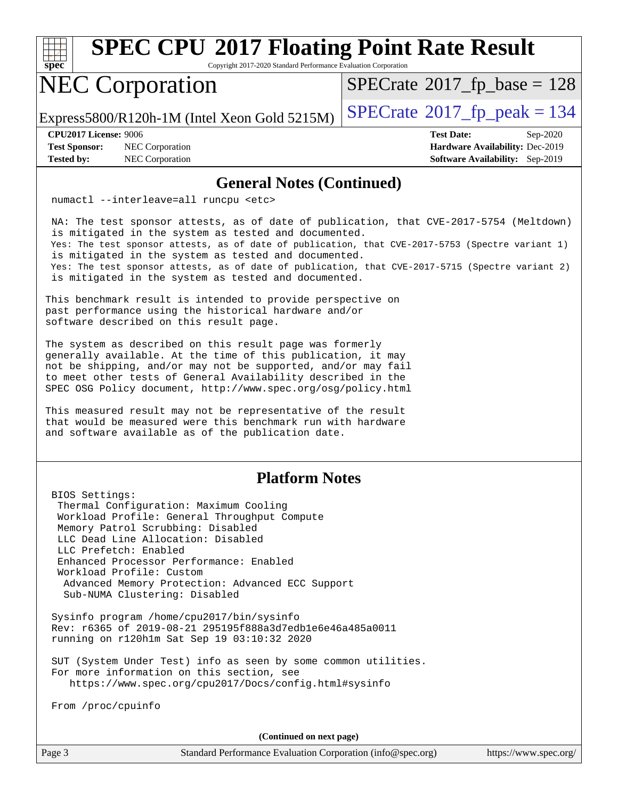

Copyright 2017-2020 Standard Performance Evaluation Corporation

# NEC Corporation

 $SPECTate$ <sup>®</sup>[2017\\_fp\\_base =](http://www.spec.org/auto/cpu2017/Docs/result-fields.html#SPECrate2017fpbase) 128

Express5800/R120h-1M (Intel Xeon Gold 5215M)  $\vert$  [SPECrate](http://www.spec.org/auto/cpu2017/Docs/result-fields.html#SPECrate2017fppeak)®[2017\\_fp\\_peak = 1](http://www.spec.org/auto/cpu2017/Docs/result-fields.html#SPECrate2017fppeak)34

**[Test Sponsor:](http://www.spec.org/auto/cpu2017/Docs/result-fields.html#TestSponsor)** NEC Corporation **[Hardware Availability:](http://www.spec.org/auto/cpu2017/Docs/result-fields.html#HardwareAvailability)** Dec-2019 **[Tested by:](http://www.spec.org/auto/cpu2017/Docs/result-fields.html#Testedby)** NEC Corporation **[Software Availability:](http://www.spec.org/auto/cpu2017/Docs/result-fields.html#SoftwareAvailability)** Sep-2019

**[CPU2017 License:](http://www.spec.org/auto/cpu2017/Docs/result-fields.html#CPU2017License)** 9006 **[Test Date:](http://www.spec.org/auto/cpu2017/Docs/result-fields.html#TestDate)** Sep-2020

#### **[General Notes \(Continued\)](http://www.spec.org/auto/cpu2017/Docs/result-fields.html#GeneralNotes)**

numactl --interleave=all runcpu <etc>

 NA: The test sponsor attests, as of date of publication, that CVE-2017-5754 (Meltdown) is mitigated in the system as tested and documented. Yes: The test sponsor attests, as of date of publication, that CVE-2017-5753 (Spectre variant 1) is mitigated in the system as tested and documented. Yes: The test sponsor attests, as of date of publication, that CVE-2017-5715 (Spectre variant 2) is mitigated in the system as tested and documented.

This benchmark result is intended to provide perspective on past performance using the historical hardware and/or software described on this result page.

The system as described on this result page was formerly generally available. At the time of this publication, it may not be shipping, and/or may not be supported, and/or may fail to meet other tests of General Availability described in the SPEC OSG Policy document, <http://www.spec.org/osg/policy.html>

This measured result may not be representative of the result that would be measured were this benchmark run with hardware and software available as of the publication date.

### **[Platform Notes](http://www.spec.org/auto/cpu2017/Docs/result-fields.html#PlatformNotes)**

 BIOS Settings: Thermal Configuration: Maximum Cooling Workload Profile: General Throughput Compute Memory Patrol Scrubbing: Disabled LLC Dead Line Allocation: Disabled LLC Prefetch: Enabled Enhanced Processor Performance: Enabled Workload Profile: Custom Advanced Memory Protection: Advanced ECC Support Sub-NUMA Clustering: Disabled

 Sysinfo program /home/cpu2017/bin/sysinfo Rev: r6365 of 2019-08-21 295195f888a3d7edb1e6e46a485a0011 running on r120h1m Sat Sep 19 03:10:32 2020

 SUT (System Under Test) info as seen by some common utilities. For more information on this section, see <https://www.spec.org/cpu2017/Docs/config.html#sysinfo>

From /proc/cpuinfo

**(Continued on next page)**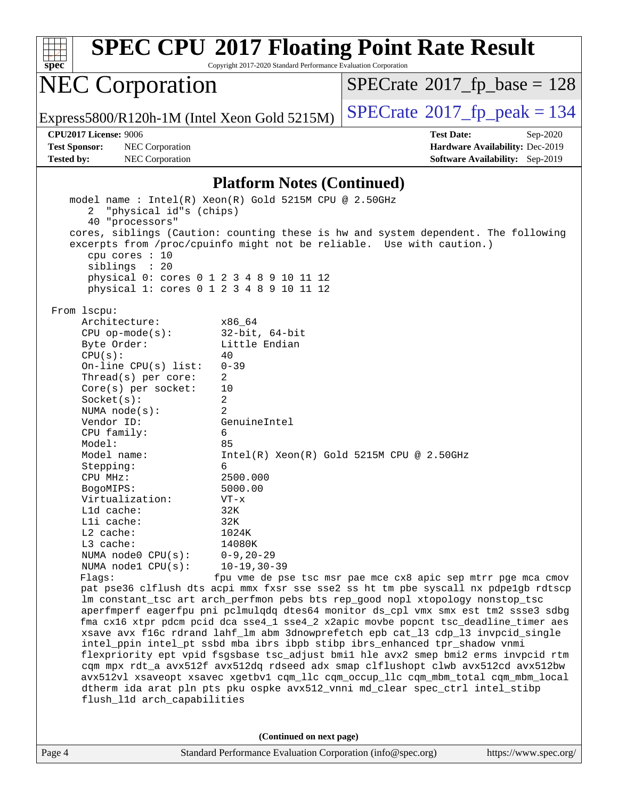

Copyright 2017-2020 Standard Performance Evaluation Corporation

## NEC Corporation

 $SPECrate$ <sup>®</sup>[2017\\_fp\\_base =](http://www.spec.org/auto/cpu2017/Docs/result-fields.html#SPECrate2017fpbase) 128

Express5800/R120h-1M (Intel Xeon Gold 5215M)  $\big|$  [SPECrate](http://www.spec.org/auto/cpu2017/Docs/result-fields.html#SPECrate2017fppeak)®[2017\\_fp\\_peak = 1](http://www.spec.org/auto/cpu2017/Docs/result-fields.html#SPECrate2017fppeak)34

**[Test Sponsor:](http://www.spec.org/auto/cpu2017/Docs/result-fields.html#TestSponsor)** NEC Corporation **[Hardware Availability:](http://www.spec.org/auto/cpu2017/Docs/result-fields.html#HardwareAvailability)** Dec-2019 **[Tested by:](http://www.spec.org/auto/cpu2017/Docs/result-fields.html#Testedby)** NEC Corporation **[Software Availability:](http://www.spec.org/auto/cpu2017/Docs/result-fields.html#SoftwareAvailability)** Sep-2019

**[CPU2017 License:](http://www.spec.org/auto/cpu2017/Docs/result-fields.html#CPU2017License)** 9006 **[Test Date:](http://www.spec.org/auto/cpu2017/Docs/result-fields.html#TestDate)** Sep-2020

#### **[Platform Notes \(Continued\)](http://www.spec.org/auto/cpu2017/Docs/result-fields.html#PlatformNotes)**

 model name : Intel(R) Xeon(R) Gold 5215M CPU @ 2.50GHz 2 "physical id"s (chips) 40 "processors" cores, siblings (Caution: counting these is hw and system dependent. The following excerpts from /proc/cpuinfo might not be reliable. Use with caution.) cpu cores : 10 siblings : 20 physical 0: cores 0 1 2 3 4 8 9 10 11 12 physical 1: cores 0 1 2 3 4 8 9 10 11 12 From lscpu: Architecture: x86\_64 CPU op-mode(s): 32-bit, 64-bit Byte Order: Little Endian  $CPU(s):$  40 On-line CPU(s) list: 0-39 Thread(s) per core: 2 Core(s) per socket: 10 Socket(s): 2 NUMA node(s): 2 Vendor ID: GenuineIntel CPU family: 6 Model: 85 Model name: Intel(R) Xeon(R) Gold 5215M CPU @ 2.50GHz Stepping: 6 CPU MHz: 2500.000 BogoMIPS: 5000.00 Virtualization: VT-x L1d cache: 32K L1i cache: 32K L2 cache: 1024K L3 cache: 14080K NUMA node0 CPU(s): 0-9,20-29 NUMA node1 CPU(s): 10-19,30-39 Flags: fpu vme de pse tsc msr pae mce cx8 apic sep mtrr pge mca cmov pat pse36 clflush dts acpi mmx fxsr sse sse2 ss ht tm pbe syscall nx pdpe1gb rdtscp lm constant\_tsc art arch\_perfmon pebs bts rep\_good nopl xtopology nonstop\_tsc aperfmperf eagerfpu pni pclmulqdq dtes64 monitor ds\_cpl vmx smx est tm2 ssse3 sdbg fma cx16 xtpr pdcm pcid dca sse4\_1 sse4\_2 x2apic movbe popcnt tsc\_deadline\_timer aes xsave avx f16c rdrand lahf\_lm abm 3dnowprefetch epb cat\_l3 cdp\_l3 invpcid\_single intel\_ppin intel\_pt ssbd mba ibrs ibpb stibp ibrs\_enhanced tpr\_shadow vnmi flexpriority ept vpid fsgsbase tsc\_adjust bmi1 hle avx2 smep bmi2 erms invpcid rtm cqm mpx rdt\_a avx512f avx512dq rdseed adx smap clflushopt clwb avx512cd avx512bw avx512vl xsaveopt xsavec xgetbv1 cqm\_llc cqm\_occup\_llc cqm\_mbm\_total cqm\_mbm\_local dtherm ida arat pln pts pku ospke avx512\_vnni md\_clear spec\_ctrl intel\_stibp flush\_l1d arch\_capabilities **(Continued on next page)**

Page 4 Standard Performance Evaluation Corporation [\(info@spec.org\)](mailto:info@spec.org) <https://www.spec.org/>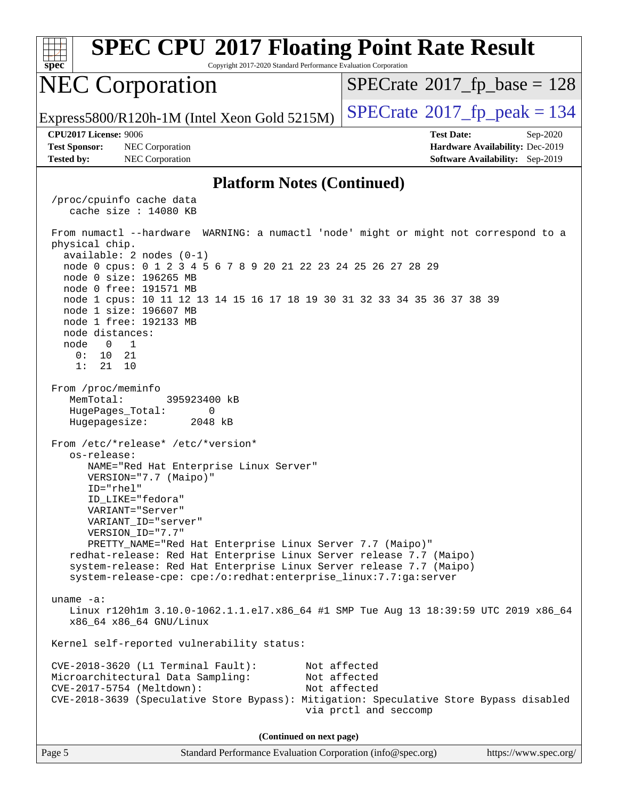| <b>SPEC CPU®2017 Floating Point Rate Result</b><br>Copyright 2017-2020 Standard Performance Evaluation Corporation<br>spec                                                                                                  |                                                                  |  |  |  |  |  |
|-----------------------------------------------------------------------------------------------------------------------------------------------------------------------------------------------------------------------------|------------------------------------------------------------------|--|--|--|--|--|
| <b>NEC Corporation</b>                                                                                                                                                                                                      | $SPECrate^{\circ}2017$ fp base = 128                             |  |  |  |  |  |
| Express5800/R120h-1M (Intel Xeon Gold 5215M)                                                                                                                                                                                | $SPECrate@2017_fp\_peak = 134$                                   |  |  |  |  |  |
| <b>CPU2017 License: 9006</b><br><b>Test Sponsor:</b><br>NEC Corporation                                                                                                                                                     | <b>Test Date:</b><br>Sep-2020<br>Hardware Availability: Dec-2019 |  |  |  |  |  |
| <b>Tested by:</b><br>NEC Corporation                                                                                                                                                                                        | Software Availability: Sep-2019                                  |  |  |  |  |  |
| <b>Platform Notes (Continued)</b>                                                                                                                                                                                           |                                                                  |  |  |  |  |  |
| /proc/cpuinfo cache data<br>cache size $: 14080$ KB                                                                                                                                                                         |                                                                  |  |  |  |  |  |
| From numactl --hardware WARNING: a numactl 'node' might or might not correspond to a<br>physical chip.<br>available: $2$ nodes $(0-1)$                                                                                      |                                                                  |  |  |  |  |  |
| node 0 cpus: 0 1 2 3 4 5 6 7 8 9 20 21 22 23 24 25 26 27 28 29<br>node 0 size: 196265 MB                                                                                                                                    |                                                                  |  |  |  |  |  |
| node 0 free: 191571 MB<br>node 1 cpus: 10 11 12 13 14 15 16 17 18 19 30 31 32 33 34 35 36 37 38 39<br>node 1 size: 196607 MB<br>node 1 free: 192133 MB                                                                      |                                                                  |  |  |  |  |  |
| node distances:<br>node<br>$\overline{0}$<br>$\overline{1}$                                                                                                                                                                 |                                                                  |  |  |  |  |  |
| 0:<br>10<br>21<br>1:<br>21<br>10                                                                                                                                                                                            |                                                                  |  |  |  |  |  |
| From /proc/meminfo<br>MemTotal:<br>395923400 kB<br>HugePages_Total:<br>0                                                                                                                                                    |                                                                  |  |  |  |  |  |
| Hugepagesize:<br>2048 kB                                                                                                                                                                                                    |                                                                  |  |  |  |  |  |
| From /etc/*release* /etc/*version*<br>os-release:<br>NAME="Red Hat Enterprise Linux Server"<br>VERSION="7.7 (Maipo)"                                                                                                        |                                                                  |  |  |  |  |  |
| ID="rhel"<br>ID LIKE="fedora"                                                                                                                                                                                               |                                                                  |  |  |  |  |  |
| VARIANT="Server"<br>VARIANT_ID="server"                                                                                                                                                                                     |                                                                  |  |  |  |  |  |
| VERSION_ID="7.7"<br>PRETTY_NAME="Red Hat Enterprise Linux Server 7.7 (Maipo)"<br>redhat-release: Red Hat Enterprise Linux Server release 7.7 (Maipo)<br>system-release: Red Hat Enterprise Linux Server release 7.7 (Maipo) |                                                                  |  |  |  |  |  |
| system-release-cpe: cpe:/o:redhat:enterprise_linux:7.7:ga:server                                                                                                                                                            |                                                                  |  |  |  |  |  |
| uname $-a$ :<br>Linux r120hlm 3.10.0-1062.1.1.el7.x86_64 #1 SMP Tue Aug 13 18:39:59 UTC 2019 x86_64<br>x86_64 x86_64 GNU/Linux                                                                                              |                                                                  |  |  |  |  |  |
| Kernel self-reported vulnerability status:                                                                                                                                                                                  |                                                                  |  |  |  |  |  |
| $CVE-2018-3620$ (L1 Terminal Fault):<br>Microarchitectural Data Sampling:                                                                                                                                                   | Not affected<br>Not affected                                     |  |  |  |  |  |
| CVE-2017-5754 (Meltdown):<br>CVE-2018-3639 (Speculative Store Bypass): Mitigation: Speculative Store Bypass disabled                                                                                                        | Not affected<br>via prctl and seccomp                            |  |  |  |  |  |
| (Continued on next page)                                                                                                                                                                                                    |                                                                  |  |  |  |  |  |
| Page 5<br>Standard Performance Evaluation Corporation (info@spec.org)                                                                                                                                                       | https://www.spec.org/                                            |  |  |  |  |  |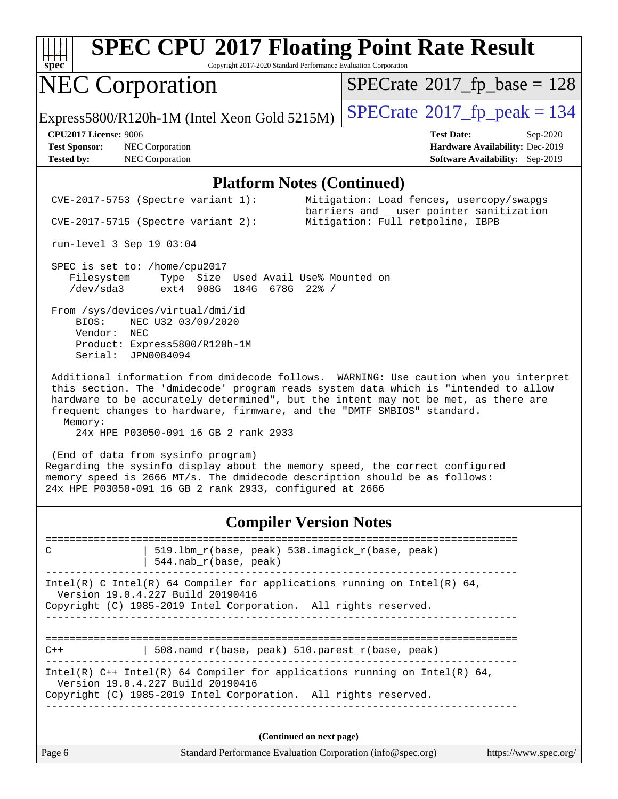

Copyright 2017-2020 Standard Performance Evaluation Corporation

## NEC Corporation

 $SPECTate$ <sup>®</sup>[2017\\_fp\\_base =](http://www.spec.org/auto/cpu2017/Docs/result-fields.html#SPECrate2017fpbase) 128

Express5800/R120h-1M (Intel Xeon Gold 5215M)  $\vert$  [SPECrate](http://www.spec.org/auto/cpu2017/Docs/result-fields.html#SPECrate2017fppeak)®[2017\\_fp\\_peak = 1](http://www.spec.org/auto/cpu2017/Docs/result-fields.html#SPECrate2017fppeak)34

**[Test Sponsor:](http://www.spec.org/auto/cpu2017/Docs/result-fields.html#TestSponsor)** NEC Corporation **[Hardware Availability:](http://www.spec.org/auto/cpu2017/Docs/result-fields.html#HardwareAvailability)** Dec-2019 **[Tested by:](http://www.spec.org/auto/cpu2017/Docs/result-fields.html#Testedby)** NEC Corporation **[Software Availability:](http://www.spec.org/auto/cpu2017/Docs/result-fields.html#SoftwareAvailability)** Sep-2019

**[CPU2017 License:](http://www.spec.org/auto/cpu2017/Docs/result-fields.html#CPU2017License)** 9006 **[Test Date:](http://www.spec.org/auto/cpu2017/Docs/result-fields.html#TestDate)** Sep-2020

#### **[Platform Notes \(Continued\)](http://www.spec.org/auto/cpu2017/Docs/result-fields.html#PlatformNotes)**

Page 6 Standard Performance Evaluation Corporation [\(info@spec.org\)](mailto:info@spec.org) <https://www.spec.org/> CVE-2017-5753 (Spectre variant 1): Mitigation: Load fences, usercopy/swapgs barriers and \_\_user pointer sanitization CVE-2017-5715 (Spectre variant 2): Mitigation: Full retpoline, IBPB run-level 3 Sep 19 03:04 SPEC is set to: /home/cpu2017 Filesystem Type Size Used Avail Use% Mounted on /dev/sda3 ext4 908G 184G 678G 22% / From /sys/devices/virtual/dmi/id BIOS: NEC U32 03/09/2020 Vendor: NEC Product: Express5800/R120h-1M Serial: JPN0084094 Additional information from dmidecode follows. WARNING: Use caution when you interpret this section. The 'dmidecode' program reads system data which is "intended to allow hardware to be accurately determined", but the intent may not be met, as there are frequent changes to hardware, firmware, and the "DMTF SMBIOS" standard. Memory: 24x HPE P03050-091 16 GB 2 rank 2933 (End of data from sysinfo program) Regarding the sysinfo display about the memory speed, the correct configured memory speed is 2666 MT/s. The dmidecode description should be as follows: 24x HPE P03050-091 16 GB 2 rank 2933, configured at 2666 **[Compiler Version Notes](http://www.spec.org/auto/cpu2017/Docs/result-fields.html#CompilerVersionNotes)** ============================================================================== C | 519.lbm\_r(base, peak) 538.imagick\_r(base, peak) | 544.nab\_r(base, peak) ------------------------------------------------------------------------------ Intel(R) C Intel(R) 64 Compiler for applications running on Intel(R)  $64$ , Version 19.0.4.227 Build 20190416 Copyright (C) 1985-2019 Intel Corporation. All rights reserved. ------------------------------------------------------------------------------ ============================================================================== C++ | 508.namd\_r(base, peak) 510.parest\_r(base, peak) ------------------------------------------------------------------------------ Intel(R)  $C++$  Intel(R) 64 Compiler for applications running on Intel(R) 64, Version 19.0.4.227 Build 20190416 Copyright (C) 1985-2019 Intel Corporation. All rights reserved. ------------------------------------------------------------------------------ **(Continued on next page)**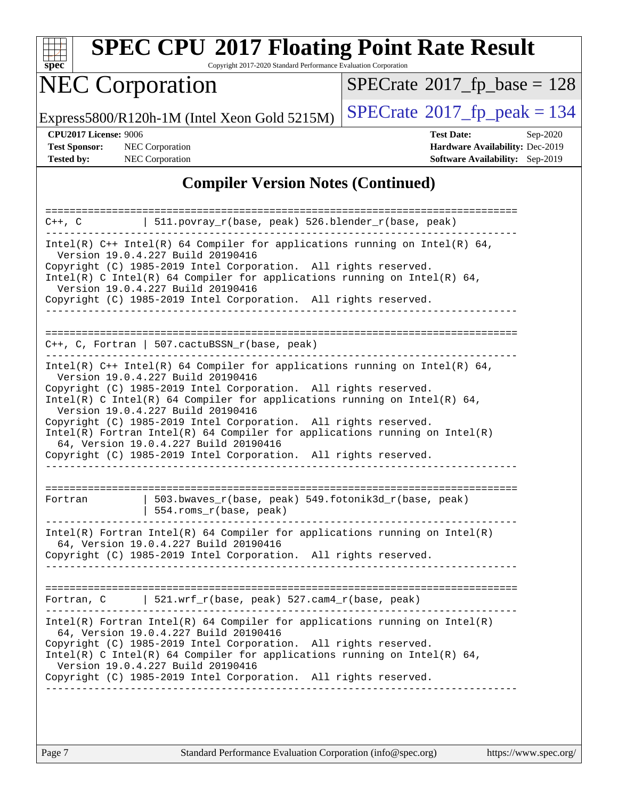

Copyright 2017-2020 Standard Performance Evaluation Corporation

# NEC Corporation

 $SPECrate$ <sup>®</sup>[2017\\_fp\\_base =](http://www.spec.org/auto/cpu2017/Docs/result-fields.html#SPECrate2017fpbase) 128

Express5800/R120h-1M (Intel Xeon Gold 5215M)  $\left|$  [SPECrate](http://www.spec.org/auto/cpu2017/Docs/result-fields.html#SPECrate2017fppeak)<sup>®</sup>[2017\\_fp\\_peak = 1](http://www.spec.org/auto/cpu2017/Docs/result-fields.html#SPECrate2017fppeak)34

**[Tested by:](http://www.spec.org/auto/cpu2017/Docs/result-fields.html#Testedby)** NEC Corporation **[Software Availability:](http://www.spec.org/auto/cpu2017/Docs/result-fields.html#SoftwareAvailability)** Sep-2019

**[CPU2017 License:](http://www.spec.org/auto/cpu2017/Docs/result-fields.html#CPU2017License)** 9006 **[Test Date:](http://www.spec.org/auto/cpu2017/Docs/result-fields.html#TestDate)** Sep-2020 **[Test Sponsor:](http://www.spec.org/auto/cpu2017/Docs/result-fields.html#TestSponsor)** NEC Corporation **[Hardware Availability:](http://www.spec.org/auto/cpu2017/Docs/result-fields.html#HardwareAvailability)** Dec-2019

#### **[Compiler Version Notes \(Continued\)](http://www.spec.org/auto/cpu2017/Docs/result-fields.html#CompilerVersionNotes)**

| $C++$ , $C$                                                                                                                                                                                                                                                                                                                                                              | $511.povray_r(base, peak) 526.blender_r(base, peak)$                                                                  |  |  |  |  |  |
|--------------------------------------------------------------------------------------------------------------------------------------------------------------------------------------------------------------------------------------------------------------------------------------------------------------------------------------------------------------------------|-----------------------------------------------------------------------------------------------------------------------|--|--|--|--|--|
| Intel(R) $C++$ Intel(R) 64 Compiler for applications running on Intel(R) 64,<br>Version 19.0.4.227 Build 20190416<br>Copyright (C) 1985-2019 Intel Corporation. All rights reserved.<br>Intel(R) C Intel(R) 64 Compiler for applications running on Intel(R) 64,<br>Version 19.0.4.227 Build 20190416<br>Copyright (C) 1985-2019 Intel Corporation. All rights reserved. |                                                                                                                       |  |  |  |  |  |
|                                                                                                                                                                                                                                                                                                                                                                          | C++, C, Fortran   507.cactuBSSN_r(base, peak)                                                                         |  |  |  |  |  |
|                                                                                                                                                                                                                                                                                                                                                                          |                                                                                                                       |  |  |  |  |  |
| Intel(R) $C++$ Intel(R) 64 Compiler for applications running on Intel(R) 64,<br>Version 19.0.4.227 Build 20190416                                                                                                                                                                                                                                                        |                                                                                                                       |  |  |  |  |  |
|                                                                                                                                                                                                                                                                                                                                                                          | Copyright (C) 1985-2019 Intel Corporation. All rights reserved.                                                       |  |  |  |  |  |
| Intel(R) C Intel(R) 64 Compiler for applications running on Intel(R) 64,                                                                                                                                                                                                                                                                                                 |                                                                                                                       |  |  |  |  |  |
| Version 19.0.4.227 Build 20190416<br>Copyright (C) 1985-2019 Intel Corporation. All rights reserved.                                                                                                                                                                                                                                                                     |                                                                                                                       |  |  |  |  |  |
|                                                                                                                                                                                                                                                                                                                                                                          | $Intel(R)$ Fortran Intel(R) 64 Compiler for applications running on Intel(R)                                          |  |  |  |  |  |
|                                                                                                                                                                                                                                                                                                                                                                          | 64, Version 19.0.4.227 Build 20190416<br>Copyright (C) 1985-2019 Intel Corporation. All rights reserved.              |  |  |  |  |  |
|                                                                                                                                                                                                                                                                                                                                                                          |                                                                                                                       |  |  |  |  |  |
|                                                                                                                                                                                                                                                                                                                                                                          |                                                                                                                       |  |  |  |  |  |
| Fortran                                                                                                                                                                                                                                                                                                                                                                  | 503.bwaves_r(base, peak) 549.fotonik3d_r(base, peak)<br>554.roms r(base, peak)                                        |  |  |  |  |  |
|                                                                                                                                                                                                                                                                                                                                                                          | $Intel(R)$ Fortran Intel(R) 64 Compiler for applications running on Intel(R)                                          |  |  |  |  |  |
| 64, Version 19.0.4.227 Build 20190416                                                                                                                                                                                                                                                                                                                                    |                                                                                                                       |  |  |  |  |  |
| Copyright (C) 1985-2019 Intel Corporation. All rights reserved.                                                                                                                                                                                                                                                                                                          |                                                                                                                       |  |  |  |  |  |
|                                                                                                                                                                                                                                                                                                                                                                          |                                                                                                                       |  |  |  |  |  |
| Fortran, C                                                                                                                                                                                                                                                                                                                                                               | 521.wrf_r(base, peak) 527.cam4_r(base, peak)                                                                          |  |  |  |  |  |
|                                                                                                                                                                                                                                                                                                                                                                          | $Intel(R)$ Fortran Intel(R) 64 Compiler for applications running on Intel(R)<br>64, Version 19.0.4.227 Build 20190416 |  |  |  |  |  |
| Copyright (C) 1985-2019 Intel Corporation. All rights reserved.                                                                                                                                                                                                                                                                                                          |                                                                                                                       |  |  |  |  |  |
| Intel(R) C Intel(R) 64 Compiler for applications running on Intel(R) 64,<br>Version 19.0.4.227 Build 20190416                                                                                                                                                                                                                                                            |                                                                                                                       |  |  |  |  |  |
| Copyright (C) 1985-2019 Intel Corporation. All rights reserved.                                                                                                                                                                                                                                                                                                          |                                                                                                                       |  |  |  |  |  |
|                                                                                                                                                                                                                                                                                                                                                                          |                                                                                                                       |  |  |  |  |  |
|                                                                                                                                                                                                                                                                                                                                                                          |                                                                                                                       |  |  |  |  |  |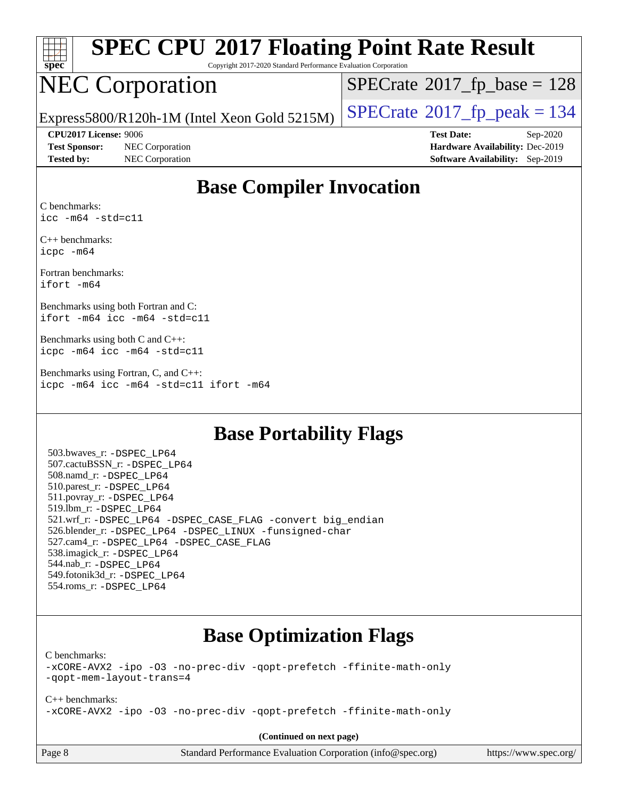

Copyright 2017-2020 Standard Performance Evaluation Corporation

# NEC Corporation

 $SPECrate$ <sup>®</sup>[2017\\_fp\\_base =](http://www.spec.org/auto/cpu2017/Docs/result-fields.html#SPECrate2017fpbase) 128

Express5800/R120h-1M (Intel Xeon Gold 5215M)  $\vert$  [SPECrate](http://www.spec.org/auto/cpu2017/Docs/result-fields.html#SPECrate2017fppeak)®[2017\\_fp\\_peak = 1](http://www.spec.org/auto/cpu2017/Docs/result-fields.html#SPECrate2017fppeak)34

**[Test Sponsor:](http://www.spec.org/auto/cpu2017/Docs/result-fields.html#TestSponsor)** NEC Corporation **[Hardware Availability:](http://www.spec.org/auto/cpu2017/Docs/result-fields.html#HardwareAvailability)** Dec-2019 **[Tested by:](http://www.spec.org/auto/cpu2017/Docs/result-fields.html#Testedby)** NEC Corporation **[Software Availability:](http://www.spec.org/auto/cpu2017/Docs/result-fields.html#SoftwareAvailability)** Sep-2019

**[CPU2017 License:](http://www.spec.org/auto/cpu2017/Docs/result-fields.html#CPU2017License)** 9006 **[Test Date:](http://www.spec.org/auto/cpu2017/Docs/result-fields.html#TestDate)** Sep-2020

### **[Base Compiler Invocation](http://www.spec.org/auto/cpu2017/Docs/result-fields.html#BaseCompilerInvocation)**

[C benchmarks](http://www.spec.org/auto/cpu2017/Docs/result-fields.html#Cbenchmarks): [icc -m64 -std=c11](http://www.spec.org/cpu2017/results/res2020q4/cpu2017-20200928-24112.flags.html#user_CCbase_intel_icc_64bit_c11_33ee0cdaae7deeeab2a9725423ba97205ce30f63b9926c2519791662299b76a0318f32ddfffdc46587804de3178b4f9328c46fa7c2b0cd779d7a61945c91cd35)

[C++ benchmarks:](http://www.spec.org/auto/cpu2017/Docs/result-fields.html#CXXbenchmarks) [icpc -m64](http://www.spec.org/cpu2017/results/res2020q4/cpu2017-20200928-24112.flags.html#user_CXXbase_intel_icpc_64bit_4ecb2543ae3f1412ef961e0650ca070fec7b7afdcd6ed48761b84423119d1bf6bdf5cad15b44d48e7256388bc77273b966e5eb805aefd121eb22e9299b2ec9d9)

[Fortran benchmarks](http://www.spec.org/auto/cpu2017/Docs/result-fields.html#Fortranbenchmarks): [ifort -m64](http://www.spec.org/cpu2017/results/res2020q4/cpu2017-20200928-24112.flags.html#user_FCbase_intel_ifort_64bit_24f2bb282fbaeffd6157abe4f878425411749daecae9a33200eee2bee2fe76f3b89351d69a8130dd5949958ce389cf37ff59a95e7a40d588e8d3a57e0c3fd751)

[Benchmarks using both Fortran and C](http://www.spec.org/auto/cpu2017/Docs/result-fields.html#BenchmarksusingbothFortranandC): [ifort -m64](http://www.spec.org/cpu2017/results/res2020q4/cpu2017-20200928-24112.flags.html#user_CC_FCbase_intel_ifort_64bit_24f2bb282fbaeffd6157abe4f878425411749daecae9a33200eee2bee2fe76f3b89351d69a8130dd5949958ce389cf37ff59a95e7a40d588e8d3a57e0c3fd751) [icc -m64 -std=c11](http://www.spec.org/cpu2017/results/res2020q4/cpu2017-20200928-24112.flags.html#user_CC_FCbase_intel_icc_64bit_c11_33ee0cdaae7deeeab2a9725423ba97205ce30f63b9926c2519791662299b76a0318f32ddfffdc46587804de3178b4f9328c46fa7c2b0cd779d7a61945c91cd35)

[Benchmarks using both C and C++:](http://www.spec.org/auto/cpu2017/Docs/result-fields.html#BenchmarksusingbothCandCXX) [icpc -m64](http://www.spec.org/cpu2017/results/res2020q4/cpu2017-20200928-24112.flags.html#user_CC_CXXbase_intel_icpc_64bit_4ecb2543ae3f1412ef961e0650ca070fec7b7afdcd6ed48761b84423119d1bf6bdf5cad15b44d48e7256388bc77273b966e5eb805aefd121eb22e9299b2ec9d9) [icc -m64 -std=c11](http://www.spec.org/cpu2017/results/res2020q4/cpu2017-20200928-24112.flags.html#user_CC_CXXbase_intel_icc_64bit_c11_33ee0cdaae7deeeab2a9725423ba97205ce30f63b9926c2519791662299b76a0318f32ddfffdc46587804de3178b4f9328c46fa7c2b0cd779d7a61945c91cd35)

[Benchmarks using Fortran, C, and C++](http://www.spec.org/auto/cpu2017/Docs/result-fields.html#BenchmarksusingFortranCandCXX): [icpc -m64](http://www.spec.org/cpu2017/results/res2020q4/cpu2017-20200928-24112.flags.html#user_CC_CXX_FCbase_intel_icpc_64bit_4ecb2543ae3f1412ef961e0650ca070fec7b7afdcd6ed48761b84423119d1bf6bdf5cad15b44d48e7256388bc77273b966e5eb805aefd121eb22e9299b2ec9d9) [icc -m64 -std=c11](http://www.spec.org/cpu2017/results/res2020q4/cpu2017-20200928-24112.flags.html#user_CC_CXX_FCbase_intel_icc_64bit_c11_33ee0cdaae7deeeab2a9725423ba97205ce30f63b9926c2519791662299b76a0318f32ddfffdc46587804de3178b4f9328c46fa7c2b0cd779d7a61945c91cd35) [ifort -m64](http://www.spec.org/cpu2017/results/res2020q4/cpu2017-20200928-24112.flags.html#user_CC_CXX_FCbase_intel_ifort_64bit_24f2bb282fbaeffd6157abe4f878425411749daecae9a33200eee2bee2fe76f3b89351d69a8130dd5949958ce389cf37ff59a95e7a40d588e8d3a57e0c3fd751)

### **[Base Portability Flags](http://www.spec.org/auto/cpu2017/Docs/result-fields.html#BasePortabilityFlags)**

 503.bwaves\_r: [-DSPEC\\_LP64](http://www.spec.org/cpu2017/results/res2020q4/cpu2017-20200928-24112.flags.html#suite_basePORTABILITY503_bwaves_r_DSPEC_LP64) 507.cactuBSSN\_r: [-DSPEC\\_LP64](http://www.spec.org/cpu2017/results/res2020q4/cpu2017-20200928-24112.flags.html#suite_basePORTABILITY507_cactuBSSN_r_DSPEC_LP64) 508.namd\_r: [-DSPEC\\_LP64](http://www.spec.org/cpu2017/results/res2020q4/cpu2017-20200928-24112.flags.html#suite_basePORTABILITY508_namd_r_DSPEC_LP64) 510.parest\_r: [-DSPEC\\_LP64](http://www.spec.org/cpu2017/results/res2020q4/cpu2017-20200928-24112.flags.html#suite_basePORTABILITY510_parest_r_DSPEC_LP64) 511.povray\_r: [-DSPEC\\_LP64](http://www.spec.org/cpu2017/results/res2020q4/cpu2017-20200928-24112.flags.html#suite_basePORTABILITY511_povray_r_DSPEC_LP64) 519.lbm\_r: [-DSPEC\\_LP64](http://www.spec.org/cpu2017/results/res2020q4/cpu2017-20200928-24112.flags.html#suite_basePORTABILITY519_lbm_r_DSPEC_LP64) 521.wrf\_r: [-DSPEC\\_LP64](http://www.spec.org/cpu2017/results/res2020q4/cpu2017-20200928-24112.flags.html#suite_basePORTABILITY521_wrf_r_DSPEC_LP64) [-DSPEC\\_CASE\\_FLAG](http://www.spec.org/cpu2017/results/res2020q4/cpu2017-20200928-24112.flags.html#b521.wrf_r_baseCPORTABILITY_DSPEC_CASE_FLAG) [-convert big\\_endian](http://www.spec.org/cpu2017/results/res2020q4/cpu2017-20200928-24112.flags.html#user_baseFPORTABILITY521_wrf_r_convert_big_endian_c3194028bc08c63ac5d04de18c48ce6d347e4e562e8892b8bdbdc0214820426deb8554edfa529a3fb25a586e65a3d812c835984020483e7e73212c4d31a38223) 526.blender\_r: [-DSPEC\\_LP64](http://www.spec.org/cpu2017/results/res2020q4/cpu2017-20200928-24112.flags.html#suite_basePORTABILITY526_blender_r_DSPEC_LP64) [-DSPEC\\_LINUX](http://www.spec.org/cpu2017/results/res2020q4/cpu2017-20200928-24112.flags.html#b526.blender_r_baseCPORTABILITY_DSPEC_LINUX) [-funsigned-char](http://www.spec.org/cpu2017/results/res2020q4/cpu2017-20200928-24112.flags.html#user_baseCPORTABILITY526_blender_r_force_uchar_40c60f00ab013830e2dd6774aeded3ff59883ba5a1fc5fc14077f794d777847726e2a5858cbc7672e36e1b067e7e5c1d9a74f7176df07886a243d7cc18edfe67) 527.cam4\_r: [-DSPEC\\_LP64](http://www.spec.org/cpu2017/results/res2020q4/cpu2017-20200928-24112.flags.html#suite_basePORTABILITY527_cam4_r_DSPEC_LP64) [-DSPEC\\_CASE\\_FLAG](http://www.spec.org/cpu2017/results/res2020q4/cpu2017-20200928-24112.flags.html#b527.cam4_r_baseCPORTABILITY_DSPEC_CASE_FLAG) 538.imagick\_r: [-DSPEC\\_LP64](http://www.spec.org/cpu2017/results/res2020q4/cpu2017-20200928-24112.flags.html#suite_basePORTABILITY538_imagick_r_DSPEC_LP64) 544.nab\_r: [-DSPEC\\_LP64](http://www.spec.org/cpu2017/results/res2020q4/cpu2017-20200928-24112.flags.html#suite_basePORTABILITY544_nab_r_DSPEC_LP64) 549.fotonik3d\_r: [-DSPEC\\_LP64](http://www.spec.org/cpu2017/results/res2020q4/cpu2017-20200928-24112.flags.html#suite_basePORTABILITY549_fotonik3d_r_DSPEC_LP64) 554.roms\_r: [-DSPEC\\_LP64](http://www.spec.org/cpu2017/results/res2020q4/cpu2017-20200928-24112.flags.html#suite_basePORTABILITY554_roms_r_DSPEC_LP64)

### **[Base Optimization Flags](http://www.spec.org/auto/cpu2017/Docs/result-fields.html#BaseOptimizationFlags)**

[C benchmarks](http://www.spec.org/auto/cpu2017/Docs/result-fields.html#Cbenchmarks):

[-xCORE-AVX2](http://www.spec.org/cpu2017/results/res2020q4/cpu2017-20200928-24112.flags.html#user_CCbase_f-xCORE-AVX2) [-ipo](http://www.spec.org/cpu2017/results/res2020q4/cpu2017-20200928-24112.flags.html#user_CCbase_f-ipo) [-O3](http://www.spec.org/cpu2017/results/res2020q4/cpu2017-20200928-24112.flags.html#user_CCbase_f-O3) [-no-prec-div](http://www.spec.org/cpu2017/results/res2020q4/cpu2017-20200928-24112.flags.html#user_CCbase_f-no-prec-div) [-qopt-prefetch](http://www.spec.org/cpu2017/results/res2020q4/cpu2017-20200928-24112.flags.html#user_CCbase_f-qopt-prefetch) [-ffinite-math-only](http://www.spec.org/cpu2017/results/res2020q4/cpu2017-20200928-24112.flags.html#user_CCbase_f_finite_math_only_cb91587bd2077682c4b38af759c288ed7c732db004271a9512da14a4f8007909a5f1427ecbf1a0fb78ff2a814402c6114ac565ca162485bbcae155b5e4258871) [-qopt-mem-layout-trans=4](http://www.spec.org/cpu2017/results/res2020q4/cpu2017-20200928-24112.flags.html#user_CCbase_f-qopt-mem-layout-trans_fa39e755916c150a61361b7846f310bcdf6f04e385ef281cadf3647acec3f0ae266d1a1d22d972a7087a248fd4e6ca390a3634700869573d231a252c784941a8)

[C++ benchmarks:](http://www.spec.org/auto/cpu2017/Docs/result-fields.html#CXXbenchmarks) [-xCORE-AVX2](http://www.spec.org/cpu2017/results/res2020q4/cpu2017-20200928-24112.flags.html#user_CXXbase_f-xCORE-AVX2) [-ipo](http://www.spec.org/cpu2017/results/res2020q4/cpu2017-20200928-24112.flags.html#user_CXXbase_f-ipo) [-O3](http://www.spec.org/cpu2017/results/res2020q4/cpu2017-20200928-24112.flags.html#user_CXXbase_f-O3) [-no-prec-div](http://www.spec.org/cpu2017/results/res2020q4/cpu2017-20200928-24112.flags.html#user_CXXbase_f-no-prec-div) [-qopt-prefetch](http://www.spec.org/cpu2017/results/res2020q4/cpu2017-20200928-24112.flags.html#user_CXXbase_f-qopt-prefetch) [-ffinite-math-only](http://www.spec.org/cpu2017/results/res2020q4/cpu2017-20200928-24112.flags.html#user_CXXbase_f_finite_math_only_cb91587bd2077682c4b38af759c288ed7c732db004271a9512da14a4f8007909a5f1427ecbf1a0fb78ff2a814402c6114ac565ca162485bbcae155b5e4258871)

**(Continued on next page)**

| Page 8 |  |
|--------|--|
|--------|--|

Page 8 Standard Performance Evaluation Corporation [\(info@spec.org\)](mailto:info@spec.org) <https://www.spec.org/>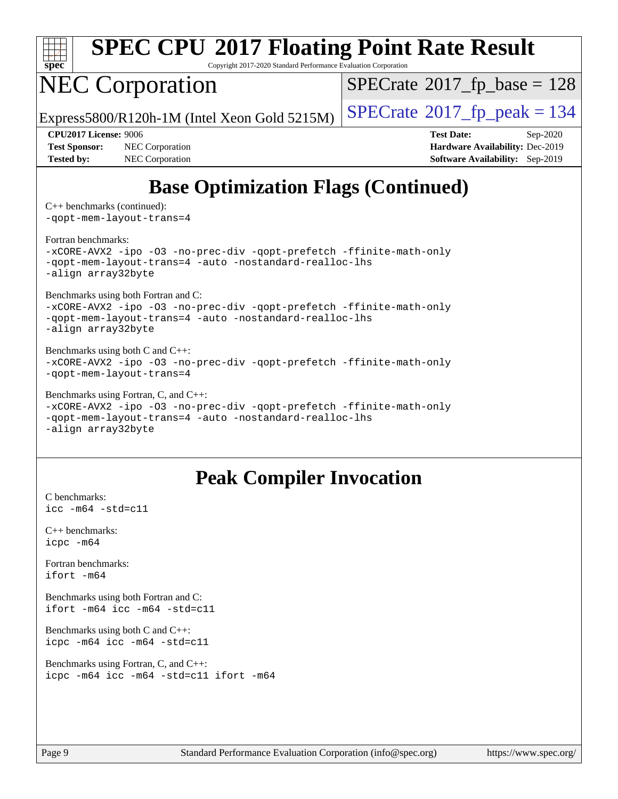

Copyright 2017-2020 Standard Performance Evaluation Corporation

# NEC Corporation

 $SPECrate$ <sup>®</sup>[2017\\_fp\\_base =](http://www.spec.org/auto/cpu2017/Docs/result-fields.html#SPECrate2017fpbase) 128

Express5800/R120h-1M (Intel Xeon Gold 5215M)  $\left|$  [SPECrate](http://www.spec.org/auto/cpu2017/Docs/result-fields.html#SPECrate2017fppeak)®[2017\\_fp\\_peak = 1](http://www.spec.org/auto/cpu2017/Docs/result-fields.html#SPECrate2017fppeak)34

**[Test Sponsor:](http://www.spec.org/auto/cpu2017/Docs/result-fields.html#TestSponsor)** NEC Corporation **[Hardware Availability:](http://www.spec.org/auto/cpu2017/Docs/result-fields.html#HardwareAvailability)** Dec-2019 **[Tested by:](http://www.spec.org/auto/cpu2017/Docs/result-fields.html#Testedby)** NEC Corporation **[Software Availability:](http://www.spec.org/auto/cpu2017/Docs/result-fields.html#SoftwareAvailability)** Sep-2019

**[CPU2017 License:](http://www.spec.org/auto/cpu2017/Docs/result-fields.html#CPU2017License)** 9006 **[Test Date:](http://www.spec.org/auto/cpu2017/Docs/result-fields.html#TestDate)** Sep-2020

### **[Base Optimization Flags \(Continued\)](http://www.spec.org/auto/cpu2017/Docs/result-fields.html#BaseOptimizationFlags)**

[C++ benchmarks](http://www.spec.org/auto/cpu2017/Docs/result-fields.html#CXXbenchmarks) (continued): [-qopt-mem-layout-trans=4](http://www.spec.org/cpu2017/results/res2020q4/cpu2017-20200928-24112.flags.html#user_CXXbase_f-qopt-mem-layout-trans_fa39e755916c150a61361b7846f310bcdf6f04e385ef281cadf3647acec3f0ae266d1a1d22d972a7087a248fd4e6ca390a3634700869573d231a252c784941a8)

[Fortran benchmarks](http://www.spec.org/auto/cpu2017/Docs/result-fields.html#Fortranbenchmarks):

[-xCORE-AVX2](http://www.spec.org/cpu2017/results/res2020q4/cpu2017-20200928-24112.flags.html#user_FCbase_f-xCORE-AVX2) [-ipo](http://www.spec.org/cpu2017/results/res2020q4/cpu2017-20200928-24112.flags.html#user_FCbase_f-ipo) [-O3](http://www.spec.org/cpu2017/results/res2020q4/cpu2017-20200928-24112.flags.html#user_FCbase_f-O3) [-no-prec-div](http://www.spec.org/cpu2017/results/res2020q4/cpu2017-20200928-24112.flags.html#user_FCbase_f-no-prec-div) [-qopt-prefetch](http://www.spec.org/cpu2017/results/res2020q4/cpu2017-20200928-24112.flags.html#user_FCbase_f-qopt-prefetch) [-ffinite-math-only](http://www.spec.org/cpu2017/results/res2020q4/cpu2017-20200928-24112.flags.html#user_FCbase_f_finite_math_only_cb91587bd2077682c4b38af759c288ed7c732db004271a9512da14a4f8007909a5f1427ecbf1a0fb78ff2a814402c6114ac565ca162485bbcae155b5e4258871) [-qopt-mem-layout-trans=4](http://www.spec.org/cpu2017/results/res2020q4/cpu2017-20200928-24112.flags.html#user_FCbase_f-qopt-mem-layout-trans_fa39e755916c150a61361b7846f310bcdf6f04e385ef281cadf3647acec3f0ae266d1a1d22d972a7087a248fd4e6ca390a3634700869573d231a252c784941a8) [-auto](http://www.spec.org/cpu2017/results/res2020q4/cpu2017-20200928-24112.flags.html#user_FCbase_f-auto) [-nostandard-realloc-lhs](http://www.spec.org/cpu2017/results/res2020q4/cpu2017-20200928-24112.flags.html#user_FCbase_f_2003_std_realloc_82b4557e90729c0f113870c07e44d33d6f5a304b4f63d4c15d2d0f1fab99f5daaed73bdb9275d9ae411527f28b936061aa8b9c8f2d63842963b95c9dd6426b8a) [-align array32byte](http://www.spec.org/cpu2017/results/res2020q4/cpu2017-20200928-24112.flags.html#user_FCbase_align_array32byte_b982fe038af199962ba9a80c053b8342c548c85b40b8e86eb3cc33dee0d7986a4af373ac2d51c3f7cf710a18d62fdce2948f201cd044323541f22fc0fffc51b6)

[Benchmarks using both Fortran and C](http://www.spec.org/auto/cpu2017/Docs/result-fields.html#BenchmarksusingbothFortranandC):

[-xCORE-AVX2](http://www.spec.org/cpu2017/results/res2020q4/cpu2017-20200928-24112.flags.html#user_CC_FCbase_f-xCORE-AVX2) [-ipo](http://www.spec.org/cpu2017/results/res2020q4/cpu2017-20200928-24112.flags.html#user_CC_FCbase_f-ipo) [-O3](http://www.spec.org/cpu2017/results/res2020q4/cpu2017-20200928-24112.flags.html#user_CC_FCbase_f-O3) [-no-prec-div](http://www.spec.org/cpu2017/results/res2020q4/cpu2017-20200928-24112.flags.html#user_CC_FCbase_f-no-prec-div) [-qopt-prefetch](http://www.spec.org/cpu2017/results/res2020q4/cpu2017-20200928-24112.flags.html#user_CC_FCbase_f-qopt-prefetch) [-ffinite-math-only](http://www.spec.org/cpu2017/results/res2020q4/cpu2017-20200928-24112.flags.html#user_CC_FCbase_f_finite_math_only_cb91587bd2077682c4b38af759c288ed7c732db004271a9512da14a4f8007909a5f1427ecbf1a0fb78ff2a814402c6114ac565ca162485bbcae155b5e4258871) [-qopt-mem-layout-trans=4](http://www.spec.org/cpu2017/results/res2020q4/cpu2017-20200928-24112.flags.html#user_CC_FCbase_f-qopt-mem-layout-trans_fa39e755916c150a61361b7846f310bcdf6f04e385ef281cadf3647acec3f0ae266d1a1d22d972a7087a248fd4e6ca390a3634700869573d231a252c784941a8) [-auto](http://www.spec.org/cpu2017/results/res2020q4/cpu2017-20200928-24112.flags.html#user_CC_FCbase_f-auto) [-nostandard-realloc-lhs](http://www.spec.org/cpu2017/results/res2020q4/cpu2017-20200928-24112.flags.html#user_CC_FCbase_f_2003_std_realloc_82b4557e90729c0f113870c07e44d33d6f5a304b4f63d4c15d2d0f1fab99f5daaed73bdb9275d9ae411527f28b936061aa8b9c8f2d63842963b95c9dd6426b8a) [-align array32byte](http://www.spec.org/cpu2017/results/res2020q4/cpu2017-20200928-24112.flags.html#user_CC_FCbase_align_array32byte_b982fe038af199962ba9a80c053b8342c548c85b40b8e86eb3cc33dee0d7986a4af373ac2d51c3f7cf710a18d62fdce2948f201cd044323541f22fc0fffc51b6)

[Benchmarks using both C and C++](http://www.spec.org/auto/cpu2017/Docs/result-fields.html#BenchmarksusingbothCandCXX): [-xCORE-AVX2](http://www.spec.org/cpu2017/results/res2020q4/cpu2017-20200928-24112.flags.html#user_CC_CXXbase_f-xCORE-AVX2) [-ipo](http://www.spec.org/cpu2017/results/res2020q4/cpu2017-20200928-24112.flags.html#user_CC_CXXbase_f-ipo) [-O3](http://www.spec.org/cpu2017/results/res2020q4/cpu2017-20200928-24112.flags.html#user_CC_CXXbase_f-O3) [-no-prec-div](http://www.spec.org/cpu2017/results/res2020q4/cpu2017-20200928-24112.flags.html#user_CC_CXXbase_f-no-prec-div) [-qopt-prefetch](http://www.spec.org/cpu2017/results/res2020q4/cpu2017-20200928-24112.flags.html#user_CC_CXXbase_f-qopt-prefetch) [-ffinite-math-only](http://www.spec.org/cpu2017/results/res2020q4/cpu2017-20200928-24112.flags.html#user_CC_CXXbase_f_finite_math_only_cb91587bd2077682c4b38af759c288ed7c732db004271a9512da14a4f8007909a5f1427ecbf1a0fb78ff2a814402c6114ac565ca162485bbcae155b5e4258871) [-qopt-mem-layout-trans=4](http://www.spec.org/cpu2017/results/res2020q4/cpu2017-20200928-24112.flags.html#user_CC_CXXbase_f-qopt-mem-layout-trans_fa39e755916c150a61361b7846f310bcdf6f04e385ef281cadf3647acec3f0ae266d1a1d22d972a7087a248fd4e6ca390a3634700869573d231a252c784941a8)

[Benchmarks using Fortran, C, and C++:](http://www.spec.org/auto/cpu2017/Docs/result-fields.html#BenchmarksusingFortranCandCXX) [-xCORE-AVX2](http://www.spec.org/cpu2017/results/res2020q4/cpu2017-20200928-24112.flags.html#user_CC_CXX_FCbase_f-xCORE-AVX2) [-ipo](http://www.spec.org/cpu2017/results/res2020q4/cpu2017-20200928-24112.flags.html#user_CC_CXX_FCbase_f-ipo) [-O3](http://www.spec.org/cpu2017/results/res2020q4/cpu2017-20200928-24112.flags.html#user_CC_CXX_FCbase_f-O3) [-no-prec-div](http://www.spec.org/cpu2017/results/res2020q4/cpu2017-20200928-24112.flags.html#user_CC_CXX_FCbase_f-no-prec-div) [-qopt-prefetch](http://www.spec.org/cpu2017/results/res2020q4/cpu2017-20200928-24112.flags.html#user_CC_CXX_FCbase_f-qopt-prefetch) [-ffinite-math-only](http://www.spec.org/cpu2017/results/res2020q4/cpu2017-20200928-24112.flags.html#user_CC_CXX_FCbase_f_finite_math_only_cb91587bd2077682c4b38af759c288ed7c732db004271a9512da14a4f8007909a5f1427ecbf1a0fb78ff2a814402c6114ac565ca162485bbcae155b5e4258871) [-qopt-mem-layout-trans=4](http://www.spec.org/cpu2017/results/res2020q4/cpu2017-20200928-24112.flags.html#user_CC_CXX_FCbase_f-qopt-mem-layout-trans_fa39e755916c150a61361b7846f310bcdf6f04e385ef281cadf3647acec3f0ae266d1a1d22d972a7087a248fd4e6ca390a3634700869573d231a252c784941a8) [-auto](http://www.spec.org/cpu2017/results/res2020q4/cpu2017-20200928-24112.flags.html#user_CC_CXX_FCbase_f-auto) [-nostandard-realloc-lhs](http://www.spec.org/cpu2017/results/res2020q4/cpu2017-20200928-24112.flags.html#user_CC_CXX_FCbase_f_2003_std_realloc_82b4557e90729c0f113870c07e44d33d6f5a304b4f63d4c15d2d0f1fab99f5daaed73bdb9275d9ae411527f28b936061aa8b9c8f2d63842963b95c9dd6426b8a) [-align array32byte](http://www.spec.org/cpu2017/results/res2020q4/cpu2017-20200928-24112.flags.html#user_CC_CXX_FCbase_align_array32byte_b982fe038af199962ba9a80c053b8342c548c85b40b8e86eb3cc33dee0d7986a4af373ac2d51c3f7cf710a18d62fdce2948f201cd044323541f22fc0fffc51b6)

### **[Peak Compiler Invocation](http://www.spec.org/auto/cpu2017/Docs/result-fields.html#PeakCompilerInvocation)**

[C benchmarks](http://www.spec.org/auto/cpu2017/Docs/result-fields.html#Cbenchmarks): [icc -m64 -std=c11](http://www.spec.org/cpu2017/results/res2020q4/cpu2017-20200928-24112.flags.html#user_CCpeak_intel_icc_64bit_c11_33ee0cdaae7deeeab2a9725423ba97205ce30f63b9926c2519791662299b76a0318f32ddfffdc46587804de3178b4f9328c46fa7c2b0cd779d7a61945c91cd35)

[C++ benchmarks:](http://www.spec.org/auto/cpu2017/Docs/result-fields.html#CXXbenchmarks) [icpc -m64](http://www.spec.org/cpu2017/results/res2020q4/cpu2017-20200928-24112.flags.html#user_CXXpeak_intel_icpc_64bit_4ecb2543ae3f1412ef961e0650ca070fec7b7afdcd6ed48761b84423119d1bf6bdf5cad15b44d48e7256388bc77273b966e5eb805aefd121eb22e9299b2ec9d9)

[Fortran benchmarks](http://www.spec.org/auto/cpu2017/Docs/result-fields.html#Fortranbenchmarks): [ifort -m64](http://www.spec.org/cpu2017/results/res2020q4/cpu2017-20200928-24112.flags.html#user_FCpeak_intel_ifort_64bit_24f2bb282fbaeffd6157abe4f878425411749daecae9a33200eee2bee2fe76f3b89351d69a8130dd5949958ce389cf37ff59a95e7a40d588e8d3a57e0c3fd751)

[Benchmarks using both Fortran and C](http://www.spec.org/auto/cpu2017/Docs/result-fields.html#BenchmarksusingbothFortranandC): [ifort -m64](http://www.spec.org/cpu2017/results/res2020q4/cpu2017-20200928-24112.flags.html#user_CC_FCpeak_intel_ifort_64bit_24f2bb282fbaeffd6157abe4f878425411749daecae9a33200eee2bee2fe76f3b89351d69a8130dd5949958ce389cf37ff59a95e7a40d588e8d3a57e0c3fd751) [icc -m64 -std=c11](http://www.spec.org/cpu2017/results/res2020q4/cpu2017-20200928-24112.flags.html#user_CC_FCpeak_intel_icc_64bit_c11_33ee0cdaae7deeeab2a9725423ba97205ce30f63b9926c2519791662299b76a0318f32ddfffdc46587804de3178b4f9328c46fa7c2b0cd779d7a61945c91cd35)

[Benchmarks using both C and C++](http://www.spec.org/auto/cpu2017/Docs/result-fields.html#BenchmarksusingbothCandCXX): [icpc -m64](http://www.spec.org/cpu2017/results/res2020q4/cpu2017-20200928-24112.flags.html#user_CC_CXXpeak_intel_icpc_64bit_4ecb2543ae3f1412ef961e0650ca070fec7b7afdcd6ed48761b84423119d1bf6bdf5cad15b44d48e7256388bc77273b966e5eb805aefd121eb22e9299b2ec9d9) [icc -m64 -std=c11](http://www.spec.org/cpu2017/results/res2020q4/cpu2017-20200928-24112.flags.html#user_CC_CXXpeak_intel_icc_64bit_c11_33ee0cdaae7deeeab2a9725423ba97205ce30f63b9926c2519791662299b76a0318f32ddfffdc46587804de3178b4f9328c46fa7c2b0cd779d7a61945c91cd35)

```
Benchmarks using Fortran, C, and C++: 
icpc -m64 icc -m64 -std=c11 ifort -m64
```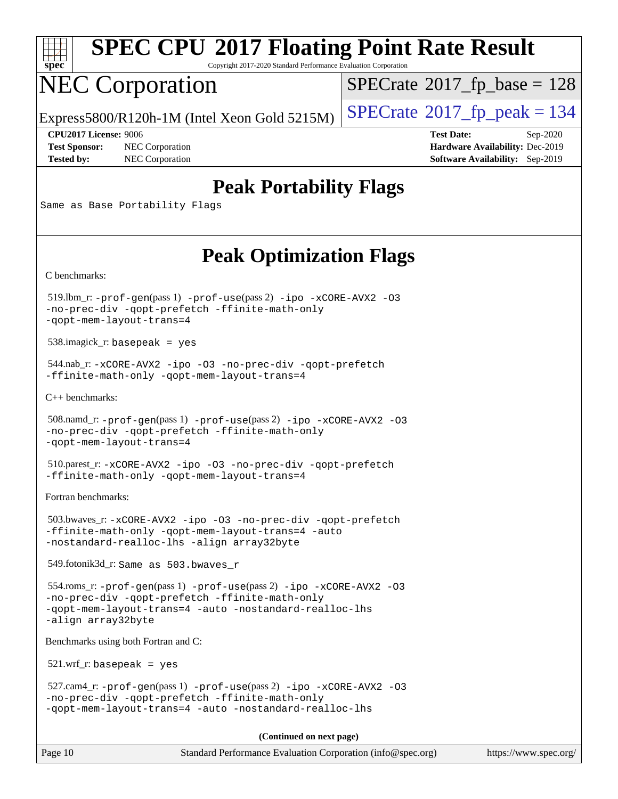

Copyright 2017-2020 Standard Performance Evaluation Corporation

### NEC Corporation

 $SPECrate$ <sup>®</sup>[2017\\_fp\\_base =](http://www.spec.org/auto/cpu2017/Docs/result-fields.html#SPECrate2017fpbase) 128

Express5800/R120h-1M (Intel Xeon Gold 5215M)  $\vert$  [SPECrate](http://www.spec.org/auto/cpu2017/Docs/result-fields.html#SPECrate2017fppeak)®[2017\\_fp\\_peak = 1](http://www.spec.org/auto/cpu2017/Docs/result-fields.html#SPECrate2017fppeak)34

**[Test Sponsor:](http://www.spec.org/auto/cpu2017/Docs/result-fields.html#TestSponsor)** NEC Corporation **[Hardware Availability:](http://www.spec.org/auto/cpu2017/Docs/result-fields.html#HardwareAvailability)** Dec-2019 **[Tested by:](http://www.spec.org/auto/cpu2017/Docs/result-fields.html#Testedby)** NEC Corporation **[Software Availability:](http://www.spec.org/auto/cpu2017/Docs/result-fields.html#SoftwareAvailability)** Sep-2019

**[CPU2017 License:](http://www.spec.org/auto/cpu2017/Docs/result-fields.html#CPU2017License)** 9006 **[Test Date:](http://www.spec.org/auto/cpu2017/Docs/result-fields.html#TestDate)** Sep-2020

### **[Peak Portability Flags](http://www.spec.org/auto/cpu2017/Docs/result-fields.html#PeakPortabilityFlags)**

Same as Base Portability Flags

### **[Peak Optimization Flags](http://www.spec.org/auto/cpu2017/Docs/result-fields.html#PeakOptimizationFlags)**

[C benchmarks](http://www.spec.org/auto/cpu2017/Docs/result-fields.html#Cbenchmarks):

 519.lbm\_r: [-prof-gen](http://www.spec.org/cpu2017/results/res2020q4/cpu2017-20200928-24112.flags.html#user_peakPASS1_CFLAGSPASS1_LDFLAGS519_lbm_r_prof_gen_5aa4926d6013ddb2a31985c654b3eb18169fc0c6952a63635c234f711e6e63dd76e94ad52365559451ec499a2cdb89e4dc58ba4c67ef54ca681ffbe1461d6b36)(pass 1) [-prof-use](http://www.spec.org/cpu2017/results/res2020q4/cpu2017-20200928-24112.flags.html#user_peakPASS2_CFLAGSPASS2_LDFLAGS519_lbm_r_prof_use_1a21ceae95f36a2b53c25747139a6c16ca95bd9def2a207b4f0849963b97e94f5260e30a0c64f4bb623698870e679ca08317ef8150905d41bd88c6f78df73f19)(pass 2) [-ipo](http://www.spec.org/cpu2017/results/res2020q4/cpu2017-20200928-24112.flags.html#user_peakPASS1_COPTIMIZEPASS2_COPTIMIZE519_lbm_r_f-ipo) [-xCORE-AVX2](http://www.spec.org/cpu2017/results/res2020q4/cpu2017-20200928-24112.flags.html#user_peakPASS2_COPTIMIZE519_lbm_r_f-xCORE-AVX2) [-O3](http://www.spec.org/cpu2017/results/res2020q4/cpu2017-20200928-24112.flags.html#user_peakPASS1_COPTIMIZEPASS2_COPTIMIZE519_lbm_r_f-O3) [-no-prec-div](http://www.spec.org/cpu2017/results/res2020q4/cpu2017-20200928-24112.flags.html#user_peakPASS1_COPTIMIZEPASS2_COPTIMIZE519_lbm_r_f-no-prec-div) [-qopt-prefetch](http://www.spec.org/cpu2017/results/res2020q4/cpu2017-20200928-24112.flags.html#user_peakPASS1_COPTIMIZEPASS2_COPTIMIZE519_lbm_r_f-qopt-prefetch) [-ffinite-math-only](http://www.spec.org/cpu2017/results/res2020q4/cpu2017-20200928-24112.flags.html#user_peakPASS1_COPTIMIZEPASS2_COPTIMIZE519_lbm_r_f_finite_math_only_cb91587bd2077682c4b38af759c288ed7c732db004271a9512da14a4f8007909a5f1427ecbf1a0fb78ff2a814402c6114ac565ca162485bbcae155b5e4258871) [-qopt-mem-layout-trans=4](http://www.spec.org/cpu2017/results/res2020q4/cpu2017-20200928-24112.flags.html#user_peakPASS1_COPTIMIZEPASS2_COPTIMIZE519_lbm_r_f-qopt-mem-layout-trans_fa39e755916c150a61361b7846f310bcdf6f04e385ef281cadf3647acec3f0ae266d1a1d22d972a7087a248fd4e6ca390a3634700869573d231a252c784941a8)

538.imagick\_r: basepeak = yes

 544.nab\_r: [-xCORE-AVX2](http://www.spec.org/cpu2017/results/res2020q4/cpu2017-20200928-24112.flags.html#user_peakCOPTIMIZE544_nab_r_f-xCORE-AVX2) [-ipo](http://www.spec.org/cpu2017/results/res2020q4/cpu2017-20200928-24112.flags.html#user_peakCOPTIMIZE544_nab_r_f-ipo) [-O3](http://www.spec.org/cpu2017/results/res2020q4/cpu2017-20200928-24112.flags.html#user_peakCOPTIMIZE544_nab_r_f-O3) [-no-prec-div](http://www.spec.org/cpu2017/results/res2020q4/cpu2017-20200928-24112.flags.html#user_peakCOPTIMIZE544_nab_r_f-no-prec-div) [-qopt-prefetch](http://www.spec.org/cpu2017/results/res2020q4/cpu2017-20200928-24112.flags.html#user_peakCOPTIMIZE544_nab_r_f-qopt-prefetch) [-ffinite-math-only](http://www.spec.org/cpu2017/results/res2020q4/cpu2017-20200928-24112.flags.html#user_peakCOPTIMIZE544_nab_r_f_finite_math_only_cb91587bd2077682c4b38af759c288ed7c732db004271a9512da14a4f8007909a5f1427ecbf1a0fb78ff2a814402c6114ac565ca162485bbcae155b5e4258871) [-qopt-mem-layout-trans=4](http://www.spec.org/cpu2017/results/res2020q4/cpu2017-20200928-24112.flags.html#user_peakCOPTIMIZE544_nab_r_f-qopt-mem-layout-trans_fa39e755916c150a61361b7846f310bcdf6f04e385ef281cadf3647acec3f0ae266d1a1d22d972a7087a248fd4e6ca390a3634700869573d231a252c784941a8)

[C++ benchmarks:](http://www.spec.org/auto/cpu2017/Docs/result-fields.html#CXXbenchmarks)

```
 508.namd_r: -prof-gen(pass 1) -prof-use(pass 2) -ipo -xCORE-AVX2 -O3
-no-prec-div -qopt-prefetch -ffinite-math-only
-qopt-mem-layout-trans=4
```
 510.parest\_r: [-xCORE-AVX2](http://www.spec.org/cpu2017/results/res2020q4/cpu2017-20200928-24112.flags.html#user_peakCXXOPTIMIZE510_parest_r_f-xCORE-AVX2) [-ipo](http://www.spec.org/cpu2017/results/res2020q4/cpu2017-20200928-24112.flags.html#user_peakCXXOPTIMIZE510_parest_r_f-ipo) [-O3](http://www.spec.org/cpu2017/results/res2020q4/cpu2017-20200928-24112.flags.html#user_peakCXXOPTIMIZE510_parest_r_f-O3) [-no-prec-div](http://www.spec.org/cpu2017/results/res2020q4/cpu2017-20200928-24112.flags.html#user_peakCXXOPTIMIZE510_parest_r_f-no-prec-div) [-qopt-prefetch](http://www.spec.org/cpu2017/results/res2020q4/cpu2017-20200928-24112.flags.html#user_peakCXXOPTIMIZE510_parest_r_f-qopt-prefetch) [-ffinite-math-only](http://www.spec.org/cpu2017/results/res2020q4/cpu2017-20200928-24112.flags.html#user_peakCXXOPTIMIZE510_parest_r_f_finite_math_only_cb91587bd2077682c4b38af759c288ed7c732db004271a9512da14a4f8007909a5f1427ecbf1a0fb78ff2a814402c6114ac565ca162485bbcae155b5e4258871) [-qopt-mem-layout-trans=4](http://www.spec.org/cpu2017/results/res2020q4/cpu2017-20200928-24112.flags.html#user_peakCXXOPTIMIZE510_parest_r_f-qopt-mem-layout-trans_fa39e755916c150a61361b7846f310bcdf6f04e385ef281cadf3647acec3f0ae266d1a1d22d972a7087a248fd4e6ca390a3634700869573d231a252c784941a8)

[Fortran benchmarks](http://www.spec.org/auto/cpu2017/Docs/result-fields.html#Fortranbenchmarks):

```
 503.bwaves_r: -xCORE-AVX2 -ipo -O3 -no-prec-div -qopt-prefetch
-ffinite-math-only -qopt-mem-layout-trans=4 -auto
-nostandard-realloc-lhs -align array32byte
```
549.fotonik3d\_r: Same as 503.bwaves\_r

```
 554.roms_r: -prof-gen(pass 1) -prof-use(pass 2) -ipo -xCORE-AVX2 -O3
-no-prec-div -qopt-prefetch -ffinite-math-only
-qopt-mem-layout-trans=4 -auto -nostandard-realloc-lhs
-align array32byte
```
[Benchmarks using both Fortran and C](http://www.spec.org/auto/cpu2017/Docs/result-fields.html#BenchmarksusingbothFortranandC):

521.wrf\_r: basepeak = yes

```
 527.cam4_r: -prof-gen(pass 1) -prof-use(pass 2) -ipo -xCORE-AVX2 -O3
-no-prec-div -qopt-prefetch -ffinite-math-only
-qopt-mem-layout-trans=4 -auto -nostandard-realloc-lhs
```
**(Continued on next page)**